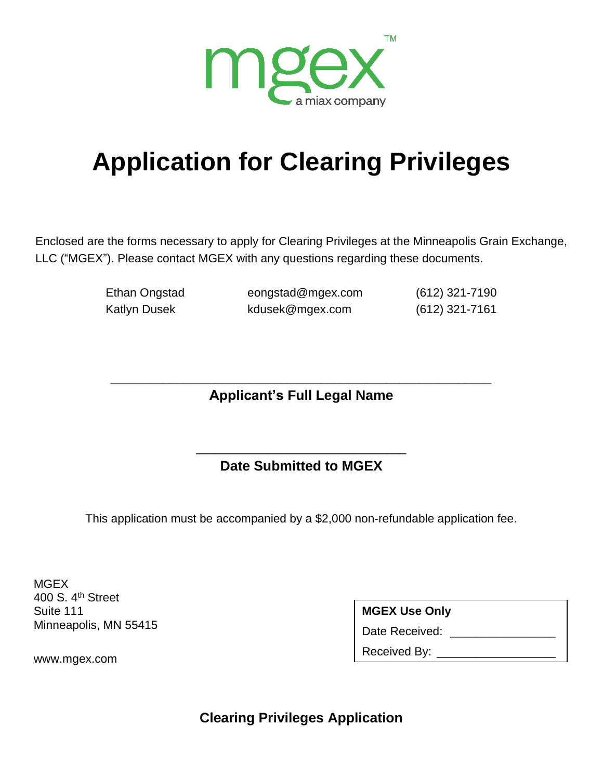

# **Application for Clearing Privileges**

Enclosed are the forms necessary to apply for Clearing Privileges at the Minneapolis Grain Exchange, LLC ("MGEX"). Please contact MGEX with any questions regarding these documents.

Ethan Ongstad eongstad@mgex.com (612) 321-7190 Katlyn Dusek **Katlyn Dusek** Kdusek@mgex.com (612) 321-7161

\_\_\_\_\_\_\_\_\_\_\_\_\_\_\_\_\_\_\_\_\_\_\_\_\_\_\_\_\_\_\_\_\_\_\_\_\_\_\_\_\_\_\_\_\_\_\_\_\_\_\_\_\_\_\_\_\_\_ **Applicant's Full Legal Name**

> \_\_\_\_\_\_\_\_\_\_\_\_\_\_\_\_\_\_\_\_\_\_\_\_\_\_\_\_\_\_\_\_ **Date Submitted to MGEX**

This application must be accompanied by a \$2,000 non-refundable application fee.

**MGEX** 400 S. 4<sup>th</sup> Street Suite 111 Minneapolis, MN 55415

| <b>MGEX Use Only</b> |
|----------------------|
| Date Received:       |
| <b>Received By:</b>  |
|                      |

www.mgex.com

**Clearing Privileges Application**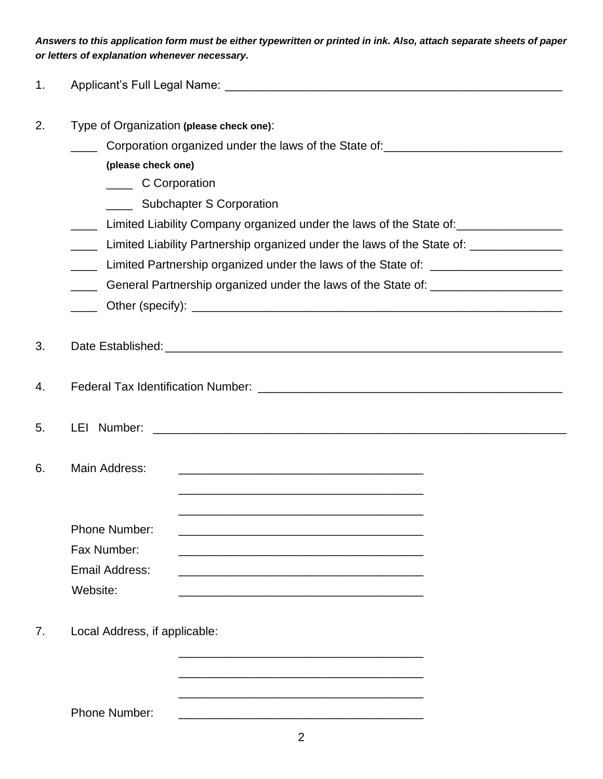*Answers to this application form must be either typewritten or printed in ink. Also, attach separate sheets of paper or letters of explanation whenever necessary.*

| 1.                                                                                                                  |                                                                                                                                        |  |  |  |  |  |
|---------------------------------------------------------------------------------------------------------------------|----------------------------------------------------------------------------------------------------------------------------------------|--|--|--|--|--|
| 2.                                                                                                                  | Type of Organization (please check one):                                                                                               |  |  |  |  |  |
|                                                                                                                     | Corporation organized under the laws of the State of:___________________________                                                       |  |  |  |  |  |
|                                                                                                                     | (please check one)                                                                                                                     |  |  |  |  |  |
|                                                                                                                     | ______ C Corporation                                                                                                                   |  |  |  |  |  |
| _____ Subchapter S Corporation<br>Limited Liability Company organized under the laws of the State of: _____________ |                                                                                                                                        |  |  |  |  |  |
|                                                                                                                     |                                                                                                                                        |  |  |  |  |  |
|                                                                                                                     | Limited Partnership organized under the laws of the State of: __________________                                                       |  |  |  |  |  |
|                                                                                                                     | General Partnership organized under the laws of the State of: __________________<br>$\mathcal{L}^{\text{max}}$                         |  |  |  |  |  |
|                                                                                                                     |                                                                                                                                        |  |  |  |  |  |
| 3.                                                                                                                  |                                                                                                                                        |  |  |  |  |  |
| 4.                                                                                                                  |                                                                                                                                        |  |  |  |  |  |
| 5.                                                                                                                  |                                                                                                                                        |  |  |  |  |  |
| 6.                                                                                                                  | Main Address:<br><u> 1989 - Johann Harry Harry Harry Harry Harry Harry Harry Harry Harry Harry Harry Harry Harry Harry Harry Harry</u> |  |  |  |  |  |
|                                                                                                                     | Phone Number:                                                                                                                          |  |  |  |  |  |
|                                                                                                                     |                                                                                                                                        |  |  |  |  |  |
|                                                                                                                     | Fax Number:<br><b>Email Address:</b>                                                                                                   |  |  |  |  |  |
|                                                                                                                     | Website:                                                                                                                               |  |  |  |  |  |
|                                                                                                                     |                                                                                                                                        |  |  |  |  |  |
| 7.                                                                                                                  | Local Address, if applicable:                                                                                                          |  |  |  |  |  |
|                                                                                                                     |                                                                                                                                        |  |  |  |  |  |
|                                                                                                                     |                                                                                                                                        |  |  |  |  |  |
|                                                                                                                     | <b>Phone Number:</b>                                                                                                                   |  |  |  |  |  |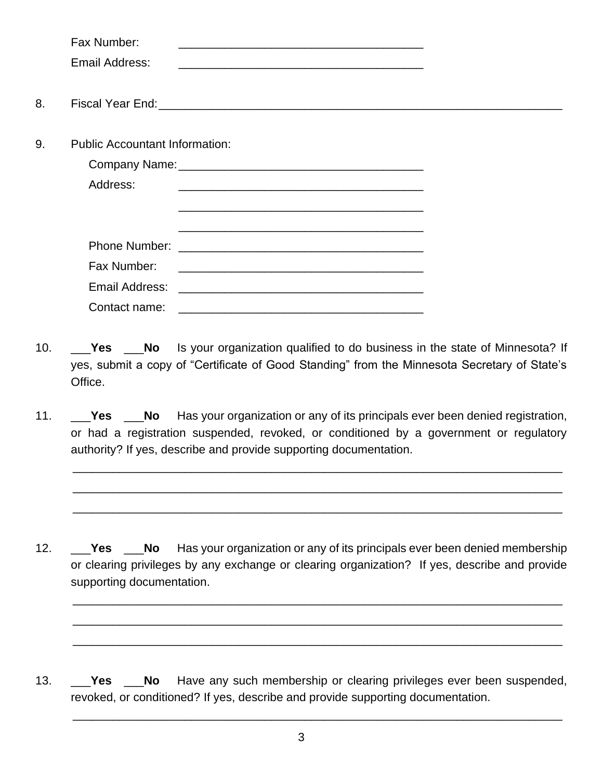|    | Fax Number:                           |  |                                                                                                                       |  |  |
|----|---------------------------------------|--|-----------------------------------------------------------------------------------------------------------------------|--|--|
|    | Email Address:                        |  | <u> 1989 - Johann Stoff, deutscher Stoff, der Stoff, der Stoff, der Stoff, der Stoff, der Stoff, der Stoff, der S</u> |  |  |
| 8. |                                       |  |                                                                                                                       |  |  |
| 9. | <b>Public Accountant Information:</b> |  |                                                                                                                       |  |  |
|    |                                       |  |                                                                                                                       |  |  |
|    | Address:                              |  |                                                                                                                       |  |  |
|    |                                       |  | <u> 1989 - Johann Stoff, deutscher Stoff, der Stoff, der Stoff, der Stoff, der Stoff, der Stoff, der Stoff, der S</u> |  |  |
|    |                                       |  |                                                                                                                       |  |  |
|    | Fax Number:                           |  |                                                                                                                       |  |  |
|    |                                       |  |                                                                                                                       |  |  |
|    | Contact name:                         |  |                                                                                                                       |  |  |

- 10. \_\_\_**Yes** \_\_\_**No** Is your organization qualified to do business in the state of Minnesota? If yes, submit a copy of "Certificate of Good Standing" from the Minnesota Secretary of State's Office.
- 11. \_\_\_**Yes** \_\_\_**No** Has your organization or any of its principals ever been denied registration, or had a registration suspended, revoked, or conditioned by a government or regulatory authority? If yes, describe and provide supporting documentation.

\_\_\_\_\_\_\_\_\_\_\_\_\_\_\_\_\_\_\_\_\_\_\_\_\_\_\_\_\_\_\_\_\_\_\_\_\_\_\_\_\_\_\_\_\_\_\_\_\_\_\_\_\_\_\_\_\_\_\_\_\_\_\_\_\_\_\_\_\_\_\_\_\_\_

\_\_\_\_\_\_\_\_\_\_\_\_\_\_\_\_\_\_\_\_\_\_\_\_\_\_\_\_\_\_\_\_\_\_\_\_\_\_\_\_\_\_\_\_\_\_\_\_\_\_\_\_\_\_\_\_\_\_\_\_\_\_\_\_\_\_\_\_\_\_\_\_\_\_

\_\_\_\_\_\_\_\_\_\_\_\_\_\_\_\_\_\_\_\_\_\_\_\_\_\_\_\_\_\_\_\_\_\_\_\_\_\_\_\_\_\_\_\_\_\_\_\_\_\_\_\_\_\_\_\_\_\_\_\_\_\_\_\_\_\_\_\_\_\_\_\_\_\_

\_\_\_\_\_\_\_\_\_\_\_\_\_\_\_\_\_\_\_\_\_\_\_\_\_\_\_\_\_\_\_\_\_\_\_\_\_\_\_\_\_\_\_\_\_\_\_\_\_\_\_\_\_\_\_\_\_\_\_\_\_\_\_\_\_\_\_\_\_\_\_\_\_\_

\_\_\_\_\_\_\_\_\_\_\_\_\_\_\_\_\_\_\_\_\_\_\_\_\_\_\_\_\_\_\_\_\_\_\_\_\_\_\_\_\_\_\_\_\_\_\_\_\_\_\_\_\_\_\_\_\_\_\_\_\_\_\_\_\_\_\_\_\_\_\_\_\_\_

\_\_\_\_\_\_\_\_\_\_\_\_\_\_\_\_\_\_\_\_\_\_\_\_\_\_\_\_\_\_\_\_\_\_\_\_\_\_\_\_\_\_\_\_\_\_\_\_\_\_\_\_\_\_\_\_\_\_\_\_\_\_\_\_\_\_\_\_\_\_\_\_\_\_

\_\_\_\_\_\_\_\_\_\_\_\_\_\_\_\_\_\_\_\_\_\_\_\_\_\_\_\_\_\_\_\_\_\_\_\_\_\_\_\_\_\_\_\_\_\_\_\_\_\_\_\_\_\_\_\_\_\_\_\_\_\_\_\_\_\_\_\_\_\_\_\_\_\_

12. \_\_\_**Yes** \_\_\_**No** Has your organization or any of its principals ever been denied membership or clearing privileges by any exchange or clearing organization? If yes, describe and provide supporting documentation.

13. \_\_\_**Yes** \_\_\_**No** Have any such membership or clearing privileges ever been suspended, revoked, or conditioned? If yes, describe and provide supporting documentation.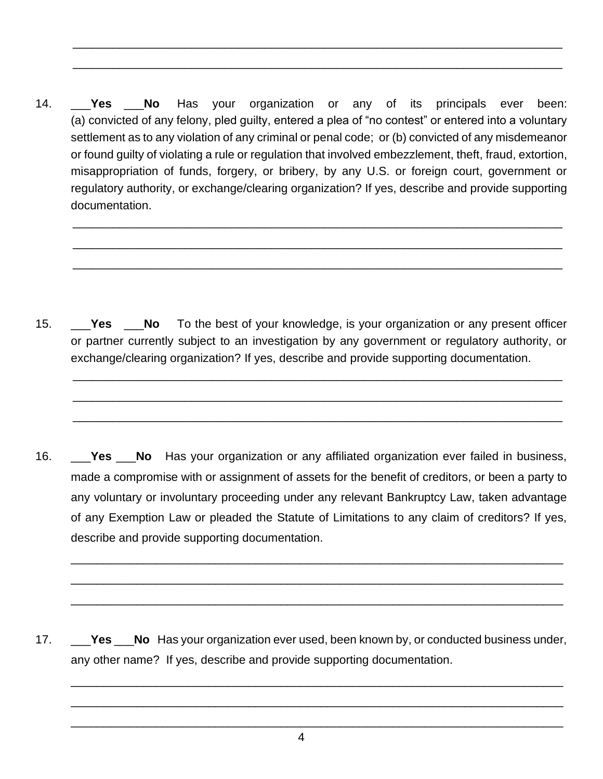14. \_\_\_**Yes** \_\_\_**No** Has your organization or any of its principals ever been: (a) convicted of any felony, pled guilty, entered a plea of "no contest" or entered into a voluntary settlement as to any violation of any criminal or penal code; or (b) convicted of any misdemeanor or found guilty of violating a rule or regulation that involved embezzlement, theft, fraud, extortion, misappropriation of funds, forgery, or bribery, by any U.S. or foreign court, government or regulatory authority, or exchange/clearing organization? If yes, describe and provide supporting documentation.

\_\_\_\_\_\_\_\_\_\_\_\_\_\_\_\_\_\_\_\_\_\_\_\_\_\_\_\_\_\_\_\_\_\_\_\_\_\_\_\_\_\_\_\_\_\_\_\_\_\_\_\_\_\_\_\_\_\_\_\_\_\_\_\_\_\_\_\_\_\_\_\_\_\_

\_\_\_\_\_\_\_\_\_\_\_\_\_\_\_\_\_\_\_\_\_\_\_\_\_\_\_\_\_\_\_\_\_\_\_\_\_\_\_\_\_\_\_\_\_\_\_\_\_\_\_\_\_\_\_\_\_\_\_\_\_\_\_\_\_\_\_\_\_\_\_\_\_\_

\_\_\_\_\_\_\_\_\_\_\_\_\_\_\_\_\_\_\_\_\_\_\_\_\_\_\_\_\_\_\_\_\_\_\_\_\_\_\_\_\_\_\_\_\_\_\_\_\_\_\_\_\_\_\_\_\_\_\_\_\_\_\_\_\_\_\_\_\_\_\_\_\_\_

\_\_\_\_\_\_\_\_\_\_\_\_\_\_\_\_\_\_\_\_\_\_\_\_\_\_\_\_\_\_\_\_\_\_\_\_\_\_\_\_\_\_\_\_\_\_\_\_\_\_\_\_\_\_\_\_\_\_\_\_\_\_\_\_\_\_\_\_\_\_\_\_\_\_

\_\_\_\_\_\_\_\_\_\_\_\_\_\_\_\_\_\_\_\_\_\_\_\_\_\_\_\_\_\_\_\_\_\_\_\_\_\_\_\_\_\_\_\_\_\_\_\_\_\_\_\_\_\_\_\_\_\_\_\_\_\_\_\_\_\_\_\_\_\_\_\_\_\_

15. \_\_\_**Yes** \_\_\_**No** To the best of your knowledge, is your organization or any present officer or partner currently subject to an investigation by any government or regulatory authority, or exchange/clearing organization? If yes, describe and provide supporting documentation.

\_\_\_\_\_\_\_\_\_\_\_\_\_\_\_\_\_\_\_\_\_\_\_\_\_\_\_\_\_\_\_\_\_\_\_\_\_\_\_\_\_\_\_\_\_\_\_\_\_\_\_\_\_\_\_\_\_\_\_\_\_\_\_\_\_\_\_\_\_\_\_\_\_\_

\_\_\_\_\_\_\_\_\_\_\_\_\_\_\_\_\_\_\_\_\_\_\_\_\_\_\_\_\_\_\_\_\_\_\_\_\_\_\_\_\_\_\_\_\_\_\_\_\_\_\_\_\_\_\_\_\_\_\_\_\_\_\_\_\_\_\_\_\_\_\_\_\_\_

\_\_\_\_\_\_\_\_\_\_\_\_\_\_\_\_\_\_\_\_\_\_\_\_\_\_\_\_\_\_\_\_\_\_\_\_\_\_\_\_\_\_\_\_\_\_\_\_\_\_\_\_\_\_\_\_\_\_\_\_\_\_\_\_\_\_\_\_\_\_\_\_\_\_

16. \_\_\_**Yes** \_\_\_**No** Has your organization or any affiliated organization ever failed in business, made a compromise with or assignment of assets for the benefit of creditors, or been a party to any voluntary or involuntary proceeding under any relevant Bankruptcy Law, taken advantage of any Exemption Law or pleaded the Statute of Limitations to any claim of creditors? If yes, describe and provide supporting documentation.

\_\_\_\_\_\_\_\_\_\_\_\_\_\_\_\_\_\_\_\_\_\_\_\_\_\_\_\_\_\_\_\_\_\_\_\_\_\_\_\_\_\_\_\_\_\_\_\_\_\_\_\_\_\_\_\_\_\_\_\_\_\_\_\_\_\_\_\_\_\_\_\_\_\_\_

\_\_\_\_\_\_\_\_\_\_\_\_\_\_\_\_\_\_\_\_\_\_\_\_\_\_\_\_\_\_\_\_\_\_\_\_\_\_\_\_\_\_\_\_\_\_\_\_\_\_\_\_\_\_\_\_\_\_\_\_\_\_\_\_\_\_\_\_\_\_\_\_\_\_\_

\_\_\_\_\_\_\_\_\_\_\_\_\_\_\_\_\_\_\_\_\_\_\_\_\_\_\_\_\_\_\_\_\_\_\_\_\_\_\_\_\_\_\_\_\_\_\_\_\_\_\_\_\_\_\_\_\_\_\_\_\_\_\_\_\_\_\_\_\_\_\_\_\_\_\_

\_\_\_\_\_\_\_\_\_\_\_\_\_\_\_\_\_\_\_\_\_\_\_\_\_\_\_\_\_\_\_\_\_\_\_\_\_\_\_\_\_\_\_\_\_\_\_\_\_\_\_\_\_\_\_\_\_\_\_\_\_\_\_\_\_\_\_\_\_\_\_\_\_\_\_

\_\_\_\_\_\_\_\_\_\_\_\_\_\_\_\_\_\_\_\_\_\_\_\_\_\_\_\_\_\_\_\_\_\_\_\_\_\_\_\_\_\_\_\_\_\_\_\_\_\_\_\_\_\_\_\_\_\_\_\_\_\_\_\_\_\_\_\_\_\_\_\_\_\_\_

\_\_\_\_\_\_\_\_\_\_\_\_\_\_\_\_\_\_\_\_\_\_\_\_\_\_\_\_\_\_\_\_\_\_\_\_\_\_\_\_\_\_\_\_\_\_\_\_\_\_\_\_\_\_\_\_\_\_\_\_\_\_\_\_\_\_\_\_\_\_\_\_\_\_\_

17. \_\_\_**Yes** \_\_\_**No** Has your organization ever used, been known by, or conducted business under, any other name? If yes, describe and provide supporting documentation.

4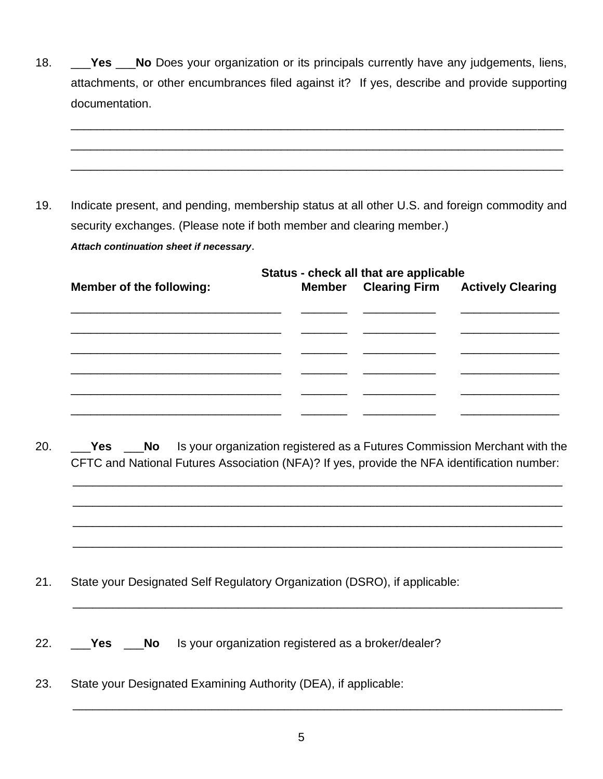18. \_\_\_**Yes** \_\_\_**No** Does your organization or its principals currently have any judgements, liens, attachments, or other encumbrances filed against it? If yes, describe and provide supporting documentation.

\_\_\_\_\_\_\_\_\_\_\_\_\_\_\_\_\_\_\_\_\_\_\_\_\_\_\_\_\_\_\_\_\_\_\_\_\_\_\_\_\_\_\_\_\_\_\_\_\_\_\_\_\_\_\_\_\_\_\_\_\_\_\_\_\_\_\_\_\_\_\_\_\_\_\_

\_\_\_\_\_\_\_\_\_\_\_\_\_\_\_\_\_\_\_\_\_\_\_\_\_\_\_\_\_\_\_\_\_\_\_\_\_\_\_\_\_\_\_\_\_\_\_\_\_\_\_\_\_\_\_\_\_\_\_\_\_\_\_\_\_\_\_\_\_\_\_\_\_\_\_

\_\_\_\_\_\_\_\_\_\_\_\_\_\_\_\_\_\_\_\_\_\_\_\_\_\_\_\_\_\_\_\_\_\_\_\_\_\_\_\_\_\_\_\_\_\_\_\_\_\_\_\_\_\_\_\_\_\_\_\_\_\_\_\_\_\_\_\_\_\_\_\_\_\_\_

19. Indicate present, and pending, membership status at all other U.S. and foreign commodity and security exchanges. (Please note if both member and clearing member.) *Attach continuation sheet if necessary*.

|                                 |  | Status - check all that are applicable |                                               |
|---------------------------------|--|----------------------------------------|-----------------------------------------------|
| <b>Member of the following:</b> |  |                                        | <b>Member</b> Clearing Firm Actively Clearing |
|                                 |  |                                        |                                               |
|                                 |  |                                        |                                               |
|                                 |  |                                        |                                               |
|                                 |  |                                        |                                               |
|                                 |  |                                        |                                               |
|                                 |  |                                        |                                               |

20. \_\_\_**Yes** \_\_\_**No** Is your organization registered as a Futures Commission Merchant with the CFTC and National Futures Association (NFA)? If yes, provide the NFA identification number:

\_\_\_\_\_\_\_\_\_\_\_\_\_\_\_\_\_\_\_\_\_\_\_\_\_\_\_\_\_\_\_\_\_\_\_\_\_\_\_\_\_\_\_\_\_\_\_\_\_\_\_\_\_\_\_\_\_\_\_\_\_\_\_\_\_\_\_\_\_\_\_\_\_\_

\_\_\_\_\_\_\_\_\_\_\_\_\_\_\_\_\_\_\_\_\_\_\_\_\_\_\_\_\_\_\_\_\_\_\_\_\_\_\_\_\_\_\_\_\_\_\_\_\_\_\_\_\_\_\_\_\_\_\_\_\_\_\_\_\_\_\_\_\_\_\_\_\_\_

\_\_\_\_\_\_\_\_\_\_\_\_\_\_\_\_\_\_\_\_\_\_\_\_\_\_\_\_\_\_\_\_\_\_\_\_\_\_\_\_\_\_\_\_\_\_\_\_\_\_\_\_\_\_\_\_\_\_\_\_\_\_\_\_\_\_\_\_\_\_\_\_\_\_

\_\_\_\_\_\_\_\_\_\_\_\_\_\_\_\_\_\_\_\_\_\_\_\_\_\_\_\_\_\_\_\_\_\_\_\_\_\_\_\_\_\_\_\_\_\_\_\_\_\_\_\_\_\_\_\_\_\_\_\_\_\_\_\_\_\_\_\_\_\_\_\_\_\_

\_\_\_\_\_\_\_\_\_\_\_\_\_\_\_\_\_\_\_\_\_\_\_\_\_\_\_\_\_\_\_\_\_\_\_\_\_\_\_\_\_\_\_\_\_\_\_\_\_\_\_\_\_\_\_\_\_\_\_\_\_\_\_\_\_\_\_\_\_\_\_\_\_\_

\_\_\_\_\_\_\_\_\_\_\_\_\_\_\_\_\_\_\_\_\_\_\_\_\_\_\_\_\_\_\_\_\_\_\_\_\_\_\_\_\_\_\_\_\_\_\_\_\_\_\_\_\_\_\_\_\_\_\_\_\_\_\_\_\_\_\_\_\_\_\_\_\_\_

- 21. State your Designated Self Regulatory Organization (DSRO), if applicable:
- 22. \_\_\_**Yes** \_\_\_**No** Is your organization registered as a broker/dealer?
- 23. State your Designated Examining Authority (DEA), if applicable: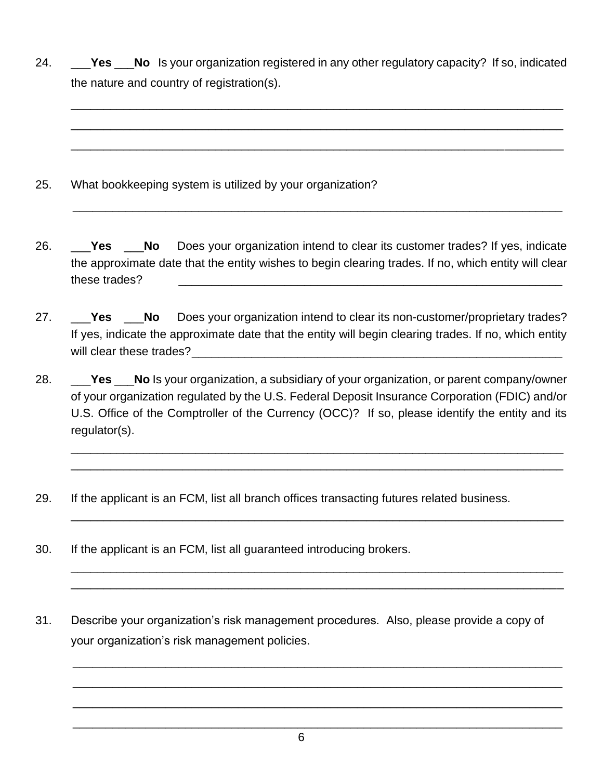24. \_\_\_**Yes** \_\_\_**No** Is your organization registered in any other regulatory capacity? If so, indicated the nature and country of registration(s).

\_\_\_\_\_\_\_\_\_\_\_\_\_\_\_\_\_\_\_\_\_\_\_\_\_\_\_\_\_\_\_\_\_\_\_\_\_\_\_\_\_\_\_\_\_\_\_\_\_\_\_\_\_\_\_\_\_\_\_\_\_\_\_\_\_\_\_\_\_\_\_\_\_\_\_

\_\_\_\_\_\_\_\_\_\_\_\_\_\_\_\_\_\_\_\_\_\_\_\_\_\_\_\_\_\_\_\_\_\_\_\_\_\_\_\_\_\_\_\_\_\_\_\_\_\_\_\_\_\_\_\_\_\_\_\_\_\_\_\_\_\_\_\_\_\_\_\_\_\_\_

\_\_\_\_\_\_\_\_\_\_\_\_\_\_\_\_\_\_\_\_\_\_\_\_\_\_\_\_\_\_\_\_\_\_\_\_\_\_\_\_\_\_\_\_\_\_\_\_\_\_\_\_\_\_\_\_\_\_\_\_\_\_\_\_\_\_\_\_\_\_\_\_\_\_\_

\_\_\_\_\_\_\_\_\_\_\_\_\_\_\_\_\_\_\_\_\_\_\_\_\_\_\_\_\_\_\_\_\_\_\_\_\_\_\_\_\_\_\_\_\_\_\_\_\_\_\_\_\_\_\_\_\_\_\_\_\_\_\_\_\_\_\_\_\_\_\_\_\_\_

- 25. What bookkeeping system is utilized by your organization?
- 26. \_\_\_**Yes** \_\_\_**No** Does your organization intend to clear its customer trades? If yes, indicate the approximate date that the entity wishes to begin clearing trades. If no, which entity will clear these trades?
- 27. \_\_\_**Yes** \_\_\_**No** Does your organization intend to clear its non-customer/proprietary trades? If yes, indicate the approximate date that the entity will begin clearing trades. If no, which entity will clear these trades?\_\_\_\_\_\_\_\_\_\_\_\_\_\_\_\_\_\_\_\_\_\_\_\_\_\_\_\_\_\_\_\_\_\_\_\_\_\_\_\_\_\_\_\_\_\_\_\_\_\_\_\_\_\_\_\_
- 28. \_\_\_**Yes** \_\_\_**No** Is your organization, a subsidiary of your organization, or parent company/owner of your organization regulated by the U.S. Federal Deposit Insurance Corporation (FDIC) and/or U.S. Office of the Comptroller of the Currency (OCC)? If so, please identify the entity and its regulator(s).

\_\_\_\_\_\_\_\_\_\_\_\_\_\_\_\_\_\_\_\_\_\_\_\_\_\_\_\_\_\_\_\_\_\_\_\_\_\_\_\_\_\_\_\_\_\_\_\_\_\_\_\_\_\_\_\_\_\_\_\_\_\_\_\_\_\_\_\_\_\_\_\_\_\_\_ \_\_\_\_\_\_\_\_\_\_\_\_\_\_\_\_\_\_\_\_\_\_\_\_\_\_\_\_\_\_\_\_\_\_\_\_\_\_\_\_\_\_\_\_\_\_\_\_\_\_\_\_\_\_\_\_\_\_\_\_\_\_\_\_\_\_\_\_\_\_\_\_\_\_\_

\_\_\_\_\_\_\_\_\_\_\_\_\_\_\_\_\_\_\_\_\_\_\_\_\_\_\_\_\_\_\_\_\_\_\_\_\_\_\_\_\_\_\_\_\_\_\_\_\_\_\_\_\_\_\_\_\_\_\_\_\_\_\_\_\_\_\_\_\_\_\_\_\_\_\_

\_\_\_\_\_\_\_\_\_\_\_\_\_\_\_\_\_\_\_\_\_\_\_\_\_\_\_\_\_\_\_\_\_\_\_\_\_\_\_\_\_\_\_\_\_\_\_\_\_\_\_\_\_\_\_\_\_\_\_\_\_\_\_\_\_\_\_\_\_\_\_\_\_\_\_ \_\_\_\_\_\_\_\_\_\_\_\_\_\_\_\_\_\_\_\_\_\_\_\_\_\_\_\_\_\_\_\_\_\_\_\_\_\_\_\_\_\_\_\_\_\_\_\_\_\_\_\_\_\_\_\_\_\_\_\_\_\_\_\_\_\_\_\_\_\_\_\_\_\_\_

\_\_\_\_\_\_\_\_\_\_\_\_\_\_\_\_\_\_\_\_\_\_\_\_\_\_\_\_\_\_\_\_\_\_\_\_\_\_\_\_\_\_\_\_\_\_\_\_\_\_\_\_\_\_\_\_\_\_\_\_\_\_\_\_\_\_\_\_\_\_\_\_\_\_

\_\_\_\_\_\_\_\_\_\_\_\_\_\_\_\_\_\_\_\_\_\_\_\_\_\_\_\_\_\_\_\_\_\_\_\_\_\_\_\_\_\_\_\_\_\_\_\_\_\_\_\_\_\_\_\_\_\_\_\_\_\_\_\_\_\_\_\_\_\_\_\_\_\_

\_\_\_\_\_\_\_\_\_\_\_\_\_\_\_\_\_\_\_\_\_\_\_\_\_\_\_\_\_\_\_\_\_\_\_\_\_\_\_\_\_\_\_\_\_\_\_\_\_\_\_\_\_\_\_\_\_\_\_\_\_\_\_\_\_\_\_\_\_\_\_\_\_\_

\_\_\_\_\_\_\_\_\_\_\_\_\_\_\_\_\_\_\_\_\_\_\_\_\_\_\_\_\_\_\_\_\_\_\_\_\_\_\_\_\_\_\_\_\_\_\_\_\_\_\_\_\_\_\_\_\_\_\_\_\_\_\_\_\_\_\_\_\_\_\_\_\_\_

- 29. If the applicant is an FCM, list all branch offices transacting futures related business.
- 30. If the applicant is an FCM, list all guaranteed introducing brokers.
- 31. Describe your organization's risk management procedures. Also, please provide a copy of your organization's risk management policies.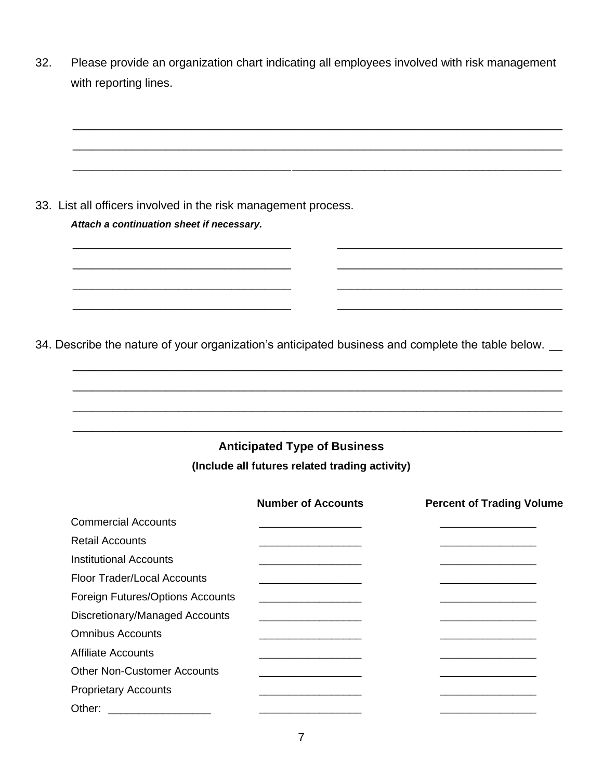32. Please provide an organization chart indicating all employees involved with risk management with reporting lines.

\_\_\_\_\_\_\_\_\_\_\_\_\_\_\_\_\_\_\_\_\_\_\_\_\_\_\_\_\_\_\_\_\_\_\_\_\_\_\_\_\_\_\_\_\_\_\_\_\_\_\_\_\_\_\_\_\_\_\_\_\_\_\_\_\_\_\_\_\_\_\_\_\_\_

\_\_\_\_\_\_\_\_\_\_\_\_\_\_\_\_\_\_\_\_\_\_\_\_\_\_\_\_\_\_\_\_\_\_\_\_\_\_\_\_\_\_\_\_\_\_\_\_\_\_\_\_\_\_\_\_\_\_\_\_\_\_\_\_\_\_\_\_\_\_\_\_\_\_

\_\_\_\_\_\_\_\_\_\_\_\_\_\_\_\_\_\_\_\_\_\_\_\_\_\_\_\_\_\_\_\_\_\_\_\_\_\_\_\_\_\_\_\_\_\_\_\_\_\_\_\_\_\_\_\_\_\_\_\_\_\_\_\_\_\_\_\_\_\_\_\_\_\_

\_\_\_\_\_\_\_\_\_\_\_\_\_\_\_\_\_\_\_\_\_\_\_\_\_\_\_\_\_\_\_\_\_ \_\_\_\_\_\_\_\_\_\_\_\_\_\_\_\_\_\_\_\_\_\_\_\_\_\_\_\_\_\_\_\_\_\_

\_\_\_\_\_\_\_\_\_\_\_\_\_\_\_\_\_\_\_\_\_\_\_\_\_\_\_\_\_\_\_\_\_ \_\_\_\_\_\_\_\_\_\_\_\_\_\_\_\_\_\_\_\_\_\_\_\_\_\_\_\_\_\_\_\_\_\_

\_\_\_\_\_\_\_\_\_\_\_\_\_\_\_\_\_\_\_\_\_\_\_\_\_\_\_\_\_\_\_\_\_ \_\_\_\_\_\_\_\_\_\_\_\_\_\_\_\_\_\_\_\_\_\_\_\_\_\_\_\_\_\_\_\_\_\_

33. List all officers involved in the risk management process. *Attach a continuation sheet if necessary.*

34. Describe the nature of your organization's anticipated business and complete the table below.  $\_\_$ 

\_\_\_\_\_\_\_\_\_\_\_\_\_\_\_\_\_\_\_\_\_\_\_\_\_\_\_\_\_\_\_\_\_\_\_\_\_\_\_\_\_\_\_\_\_\_\_\_\_\_\_\_\_\_\_\_\_\_\_\_\_\_\_\_\_\_\_\_\_\_\_\_\_\_ \_\_\_\_\_\_\_\_\_\_\_\_\_\_\_\_\_\_\_\_\_\_\_\_\_\_\_\_\_\_\_\_\_\_\_\_\_\_\_\_\_\_\_\_\_\_\_\_\_\_\_\_\_\_\_\_\_\_\_\_\_\_\_\_\_\_\_\_\_\_\_\_\_\_ \_\_\_\_\_\_\_\_\_\_\_\_\_\_\_\_\_\_\_\_\_\_\_\_\_\_\_\_\_\_\_\_\_\_\_\_\_\_\_\_\_\_\_\_\_\_\_\_\_\_\_\_\_\_\_\_\_\_\_\_\_\_\_\_\_\_\_\_\_\_\_\_\_\_ \_\_\_\_\_\_\_\_\_\_\_\_\_\_\_\_\_\_\_\_\_\_\_\_\_\_\_\_\_\_\_\_\_\_\_\_\_\_\_\_\_\_\_\_\_\_\_\_\_\_\_\_\_\_\_\_\_\_\_\_\_\_\_\_\_\_\_\_\_\_\_\_\_\_

## **Anticipated Type of Business**

**(Include all futures related trading activity)**

|                                    | <b>Number of Accounts</b> | <b>Percent of Trading Volume</b> |
|------------------------------------|---------------------------|----------------------------------|
| <b>Commercial Accounts</b>         |                           |                                  |
| <b>Retail Accounts</b>             |                           |                                  |
| Institutional Accounts             |                           |                                  |
| Floor Trader/Local Accounts        |                           |                                  |
| Foreign Futures/Options Accounts   |                           |                                  |
| Discretionary/Managed Accounts     |                           |                                  |
| <b>Omnibus Accounts</b>            |                           |                                  |
| Affiliate Accounts                 |                           |                                  |
| <b>Other Non-Customer Accounts</b> |                           |                                  |
| <b>Proprietary Accounts</b>        |                           |                                  |
| Other:                             |                           |                                  |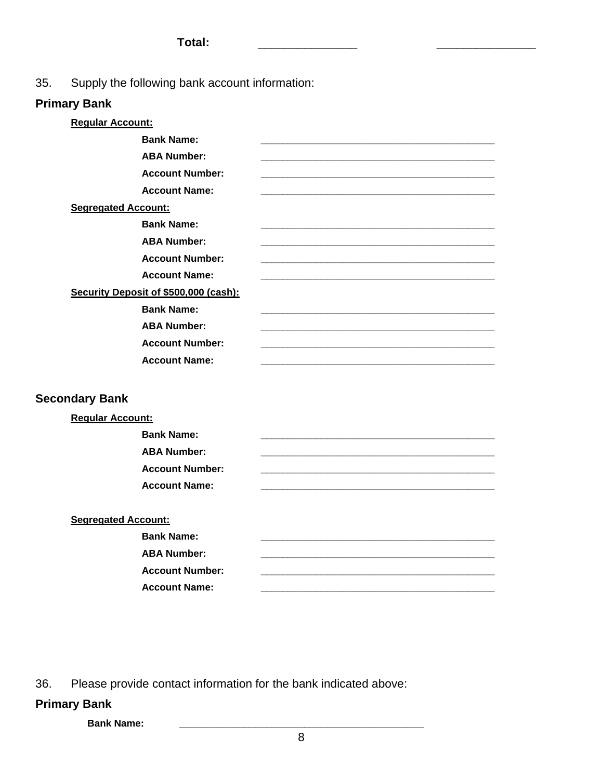**Total:** \_\_\_\_\_\_\_\_\_\_\_\_\_\_\_ \_\_\_\_\_\_\_\_\_\_\_\_\_\_\_

35. Supply the following bank account information:

#### **Primary Bank**

| Regular Account:                      |  |
|---------------------------------------|--|
| <b>Bank Name:</b>                     |  |
| <b>ABA Number:</b>                    |  |
| <b>Account Number:</b>                |  |
| <b>Account Name:</b>                  |  |
| <b>Segregated Account:</b>            |  |
| <b>Bank Name:</b>                     |  |
| <b>ABA Number:</b>                    |  |
| <b>Account Number:</b>                |  |
| <b>Account Name:</b>                  |  |
| Security Deposit of \$500,000 (cash): |  |
| <b>Bank Name:</b>                     |  |
| <b>ABA Number:</b>                    |  |
| <b>Account Number:</b>                |  |
| <b>Account Name:</b>                  |  |

#### **Secondary Bank**

**Regular Account:** 

**Bank Name: \_\_\_\_\_\_\_\_\_\_\_\_\_\_\_\_\_\_\_\_\_\_\_\_\_\_\_\_\_\_\_\_\_\_\_\_\_\_\_\_\_\_\_**

**ABA Number: \_\_\_\_\_\_\_\_\_\_\_\_\_\_\_\_\_\_\_\_\_\_\_\_\_\_\_\_\_\_\_\_\_\_\_\_\_\_\_\_\_\_\_**

**Account Number: \_\_\_\_\_\_\_\_\_\_\_\_\_\_\_\_\_\_\_\_\_\_\_\_\_\_\_\_\_\_\_\_\_\_\_\_\_\_\_\_\_\_\_**

**Account Name: \_\_\_\_\_\_\_\_\_\_\_\_\_\_\_\_\_\_\_\_\_\_\_\_\_\_\_\_\_\_\_\_\_\_\_\_\_\_\_\_\_\_\_**

#### **Segregated Account:**

**Bank Name: \_\_\_\_\_\_\_\_\_\_\_\_\_\_\_\_\_\_\_\_\_\_\_\_\_\_\_\_\_\_\_\_\_\_\_\_\_\_\_\_\_\_\_**

**ABA Number: \_\_\_\_\_\_\_\_\_\_\_\_\_\_\_\_\_\_\_\_\_\_\_\_\_\_\_\_\_\_\_\_\_\_\_\_\_\_\_\_\_\_\_**

**Account Number: \_\_\_\_\_\_\_\_\_\_\_\_\_\_\_\_\_\_\_\_\_\_\_\_\_\_\_\_\_\_\_\_\_\_\_\_\_\_\_\_\_\_\_**

**Account Name: \_\_\_\_\_\_\_\_\_\_\_\_\_\_\_\_\_\_\_\_\_\_\_\_\_\_\_\_\_\_\_\_\_\_\_\_\_\_\_\_\_\_\_**

36. Please provide contact information for the bank indicated above:

#### **Primary Bank**

**Bank Name: \_\_\_\_\_\_\_\_\_\_\_\_\_\_\_\_\_\_\_\_\_\_\_\_\_\_\_\_\_\_\_\_\_\_\_\_\_\_\_\_\_\_\_\_\_**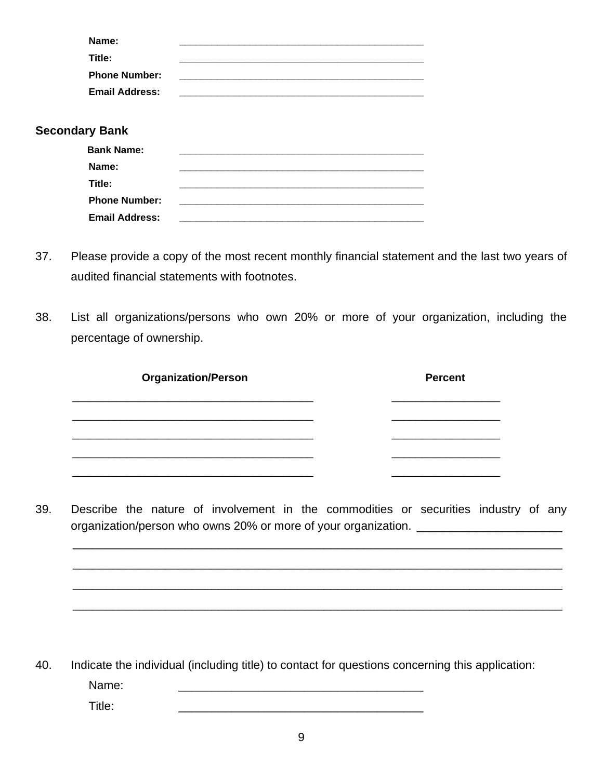| Name:                 |  |
|-----------------------|--|
| Title:                |  |
| <b>Phone Number:</b>  |  |
| <b>Email Address:</b> |  |

### **Secondary Bank**

| <b>Bank Name:</b>     |  |
|-----------------------|--|
| Name:                 |  |
| Title:                |  |
| <b>Phone Number:</b>  |  |
| <b>Email Address:</b> |  |

- 37. Please provide a copy of the most recent monthly financial statement and the last two years of audited financial statements with footnotes.
- 38. List all organizations/persons who own 20% or more of your organization, including the percentage of ownership.

| <b>Organization/Person</b> | <b>Percent</b> |
|----------------------------|----------------|
|                            |                |
|                            |                |
|                            |                |
|                            |                |

39. Describe the nature of involvement in the commodities or securities industry of any organization/person who owns 20% or more of your organization. \_\_\_\_\_\_\_\_\_\_\_\_\_\_\_\_\_\_

\_\_\_\_\_\_\_\_\_\_\_\_\_\_\_\_\_\_\_\_\_\_\_\_\_\_\_\_\_\_\_\_\_\_\_\_\_\_\_\_\_\_\_\_\_\_\_\_\_\_\_\_\_\_\_\_\_\_\_\_\_\_\_\_\_\_\_\_\_\_\_\_\_\_

\_\_\_\_\_\_\_\_\_\_\_\_\_\_\_\_\_\_\_\_\_\_\_\_\_\_\_\_\_\_\_\_\_\_\_\_\_\_\_\_\_\_\_\_\_\_\_\_\_\_\_\_\_\_\_\_\_\_\_\_\_\_\_\_\_\_\_\_\_\_\_\_\_\_

\_\_\_\_\_\_\_\_\_\_\_\_\_\_\_\_\_\_\_\_\_\_\_\_\_\_\_\_\_\_\_\_\_\_\_\_\_\_\_\_\_\_\_\_\_\_\_\_\_\_\_\_\_\_\_\_\_\_\_\_\_\_\_\_\_\_\_\_\_\_\_\_\_\_

\_\_\_\_\_\_\_\_\_\_\_\_\_\_\_\_\_\_\_\_\_\_\_\_\_\_\_\_\_\_\_\_\_\_\_\_\_\_\_\_\_\_\_\_\_\_\_\_\_\_\_\_\_\_\_\_\_\_\_\_\_\_\_\_\_\_\_\_\_\_\_\_\_\_

40. Indicate the individual (including title) to contact for questions concerning this application: Name: \_\_\_\_\_\_\_\_\_\_\_\_\_\_\_\_\_\_\_\_\_\_\_\_\_\_\_\_\_\_\_\_\_\_\_\_\_ Title: \_\_\_\_\_\_\_\_\_\_\_\_\_\_\_\_\_\_\_\_\_\_\_\_\_\_\_\_\_\_\_\_\_\_\_\_\_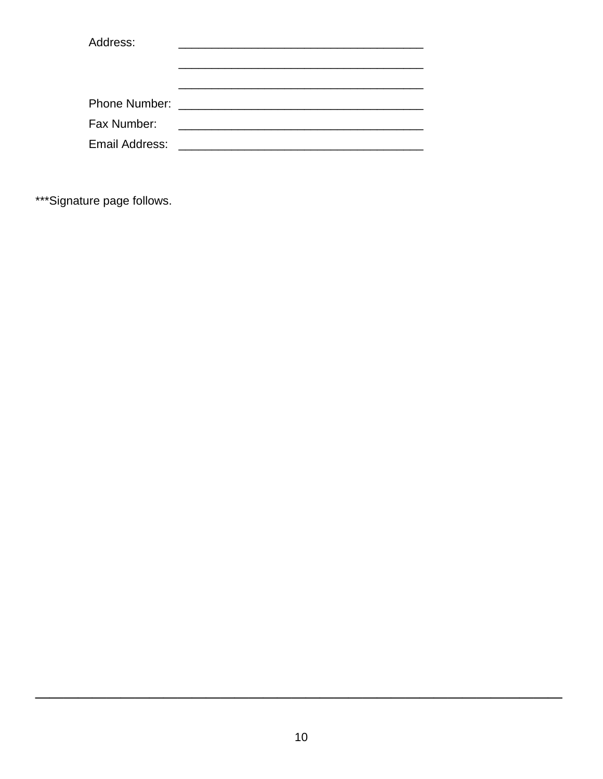| Address:                      |  |
|-------------------------------|--|
|                               |  |
|                               |  |
|                               |  |
|                               |  |
| Fax Number:                   |  |
| Email Address: Email Address: |  |

\*\*\* Signature page follows.